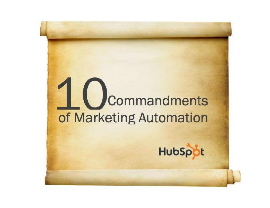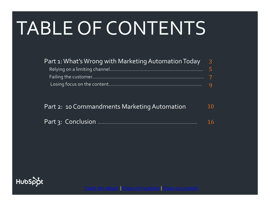# TABLE OF CONTENTS

| Part 1: What's Wrong with Marketing Automation Today | $\overline{3}$ |
|------------------------------------------------------|----------------|
|                                                      | -5.            |
|                                                      |                |
|                                                      | $\mathbf{Q}$   |

| Part 2: 10 Commandments Marketing Automation | <b>10</b> |
|----------------------------------------------|-----------|
|                                              | 16        |

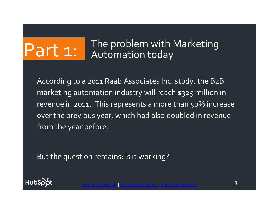# Part 1: The problem with Marketing Automation today

According to a 2011 Raab Associates Inc. study, the B2B marketing automation industry will reach \$325 million in revenue in 2011. This represents a more than 50% increase over the previous year, which had also doubled in revenue from the year before.

But the question remains: is it working?



3 [Tweet this eBook](https://twitter.com/intent/tweet?text=Learn+why+marketing+automation+is+failing.+Download+@HubSpot) | [Share on Facebook](http://www.facebook.com/share.php?u=http://www.hubspot.com/marketing-automation-commandments/?source=BlogFB) <sup>|</sup> [Share on Linkedin](http://www.linkedin.com/shareArticle?mini=true&url=http://www.hubspot.com/marketing-automation-commandments/)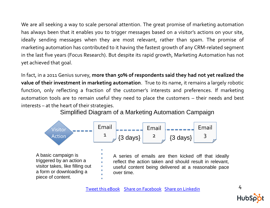We are all seeking a way to scale personal attention. The great promise of marketing automation has always been that it enables you to trigger messages based on a visitor's actions on your site, ideally sending messages when they are most relevant, rather than spam. The promise of marketing automation has contributed to it having the fastest growth of any CRM-related segment in the last five years (Focus Research). But despite its rapid growth, Marketing Automation has not yet achieved that goal.

In fact, in a 2011 Genius survey, **more than 50% of respondents said they had not yet realized the value of their investment in marketing automation**. True to its name, it remains a largely robotic function, only reflecting a fraction of the customer's interests and preferences. If marketing automation tools are to remain useful they need to place the customers – their needs and best interests – at the heart of their strategies.

Simplified Diagram of a Marketing Automation Campaign



A basic campaign is triggered by an action a visitor takes, like filling out a form or downloading a piece of content.

A series of emails are then kicked off that ideally reflect the action taken and should result in relevant, useful content being delivered at a reasonable pace over time.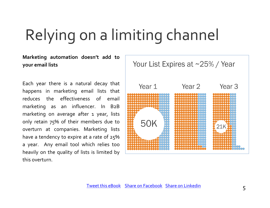# Relying on a limiting channel

**Marketing automation doesn't add to your email lists**

Each year there is a natural decay that happens in marketing email lists that reduces the effectiveness of email marketing as an influencer. In B2B marketing on average after 1 year, lists only retain 75% of their members due to overturn at companies. Marketing lists have a tendency to expire at a rate of 25% a year. Any email tool which relies too heavily on the quality of lists is limited by this overturn.

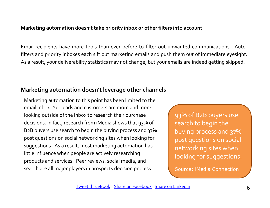#### **Marketing automation doesn't take priority inbox or other filters into account**

Email recipients have more tools than ever before to filter out unwanted communications. Autofilters and priority inboxes each sift out marketing emails and push them out of immediate eyesight. As a result, your deliverability statistics may not change, but your emails are indeed getting skipped.

#### **Marketing automation doesn't leverage other channels**

Marketing automation to this point has been limited to the email inbox. Yet leads and customers are more and more looking outside of the inbox to research their purchase decisions. In fact, research from iMedia shows that 93% of B2B buyers use search to begin the buying process and 37% post questions on social networking sites when looking for suggestions. As a result, most marketing automation has little influence when people are actively researching products and services. Peer reviews, social media, and search are all major players in prospects decision process.

93% of B2B buyers use search to begin the buying process and 37% post questions on social networking sites when looking for suggestions.

Source: [iMedia Connection](http://blogs.imediaconnection.com/blog/2010/10/26/how-to-use-social-media-to-generate-b2b-leads/?ref=Webbiquity)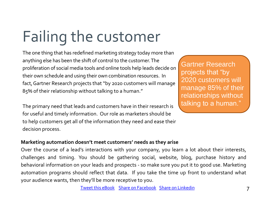# Failing the customer

The one thing that has redefined marketing strategy today more than anything else has been the shift of control to the customer. The proliferation of social media tools and online tools help leads decide on their own schedule and using their own combination resources. In fact, Gartner Research projects that "by 2020 customers will manage 85% of their relationship without talking to a human."

The primary need that leads and customers have in their research is for useful and timely information. Our role as marketers should be to help customers get all of the information they need and ease their decision process.

Gartner Research projects that "by 2020 customers will manage 85% of their relationships without talking to a human."

#### **Marketing automation doesn't meet customers' needs as they arise**

Over the course of a lead's interactions with your company, you learn a lot about their interests, challenges and timing. You should be gathering social, website, blog, purchase history and behavioral information on your leads and prospects - so make sure you put it to good use. Marketing automation programs should reflect that data. If you take the time up front to understand what your audience wants, then they'll be more receptive to you.

[Tweet this eBook](https://twitter.com/intent/tweet?text=Learn+why+marketing+automation+is+failing.+Download+@HubSpot) | [Share on Facebook](http://www.facebook.com/share.php?u=http://www.hubspot.com/marketing-automation-commandments/?source=BlogFB) | [Share on Linkedin](http://www.linkedin.com/shareArticle?mini=true&url=http://www.hubspot.com/marketing-automation-commandments/) | Tweet this eBook | Share on Linkedin | T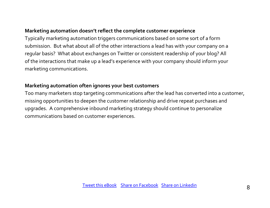#### **Marketing automation doesn't reflect the complete customer experience**

Typically marketing automation triggers communications based on some sort of a form submission. But what about all of the other interactions a lead has with your company on a regular basis? What about exchanges on Twitter or consistent readership of your blog? All of the interactions that make up a lead's experience with your company should inform your marketing communications.

#### **Marketing automation often ignores your best customers**

Too many marketers stop targeting communications after the lead has converted into a customer, missing opportunities to deepen the customer relationship and drive repeat purchases and upgrades. A comprehensive inbound marketing strategy should continue to personalize communications based on customer experiences.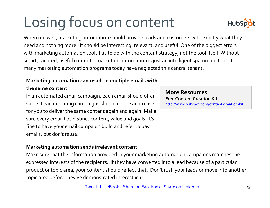# Losing focus on content

When run well, marketing automation should provide leads and customers with exactly what they need and nothing more. It should be interesting, relevant, and useful. One of the biggest errors with marketing automation tools has to do with the content strategy, not the tool itself. Without smart, tailored, useful content – marketing automation is just an intelligent spamming tool. Too many marketing automation programs today have neglected this central tenant.

#### **Marketing automation can result in multiple emails with**

#### **the same content**

In an automated email campaign, each email should offer value. Lead nurturing campaigns should not be an excuse for you to deliver the same content again and again. Make sure every email has distinct content, value and goals. It's fine to have your email campaign build and refer to past emails, but don't reuse.

#### **Marketing automation sends irrelevant content**

Make sure that the information provided in your marketing automation campaigns matches the expressed interests of the recipients. If they have converted into a lead because of a particular product or topic area, your content should reflect that. Don't rush your leads or move into another topic area before they've demonstrated interest in it.

**More Resources Free Content Creation Kit** <http://www.hubspot.com/content-creation-kit/>

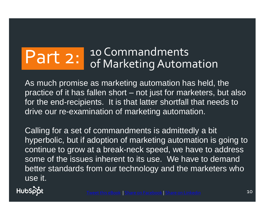# Part 2: 10 Commandments<br>
of Marketing Automation

As much promise as marketing automation has held, the practice of it has fallen short – not just for marketers, but also for the end-recipients. It is that latter shortfall that needs to drive our re-examination of marketing automation.

Calling for a set of commandments is admittedly a bit hyperbolic, but if adoption of marketing automation is going to continue to grow at a break-neck speed, we have to address some of the issues inherent to its use. We have to demand better standards from our technology and the marketers who use it.

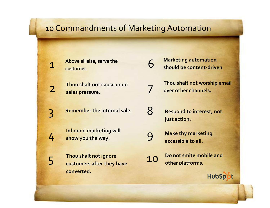### 10 Commandments of Marketing Automation

6

7

8

9

**Above all else, serve the customer.**

1

2

3

4

5

**Thou shalt not cause undo sales pressure.**

**Remember the internal sale.**

**Inbound marketing will show you the way.**

**Thou shalt not ignore customers after they have converted.**

**Marketing automation should be content-driven**

**Thou shalt not worship email over other channels.**

**Respond to interest, not just action.**

**Make thy marketing accessible to all.**

10 **Do not smite mobile and other platforms.**

HubSpot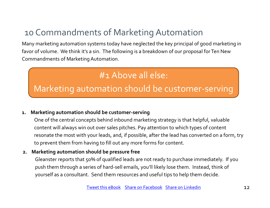## 10 Commandments of Marketing Automation

Many marketing automation systems today have neglected the key principal of good marketing in favor of volume. We think it's a sin. The following is a breakdown of our proposal for Ten New Commandments of Marketing Automation.

## #1 Above all else:

Marketing automation should be customer-serving

#### **1. Marketing automation should be customer-serving**

One of the central concepts behind inbound marketing strategy is that helpful, valuable content will always win out over sales pitches. Pay attention to which types of content resonate the most with your leads, and, if possible, after the lead has converted on a form, try to prevent them from having to fill out any more forms for content.

#### **2. Marketing automation should be pressure free**

Gleanster reports that 50% of qualified leads are not ready to purchase immediately. If you push them through a series of hard-sell emails, you'll likely lose them. Instead, think of yourself as a consultant. Send them resources and useful tips to help them decide.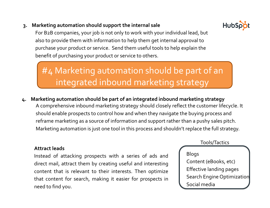#### **3. Marketing automation should support the internal sale**



For B2B companies, your job is not only to work with your individual lead, but also to provide them with information to help them get internal approval to purchase your product or service. Send them useful tools to help explain the benefit of purchasing your product or service to others.

## #4 Marketing automation should be part of an integrated inbound marketing strategy

**4. Marketing automation should be part of an integrated inbound marketing strategy** A comprehensive inbound marketing strategy should closely reflect the customer lifecycle. It should enable prospects to control how and when they navigate the buying process and reframe marketing as a source of information and support rather than a pushy sales pitch. Marketing automation is just one tool in this process and shouldn't replace the full strategy.

#### **Attract leads**

Instead of attacking prospects with a series of ads and direct mail, attract them by creating useful and interesting content that is relevant to their interests. Then optimize that content for search, making it easier for prospects in need to find you.

Tools/Tactics

#### Blogs

Content (eBooks, etc) Effective landing pages Search Engine Optimization Social media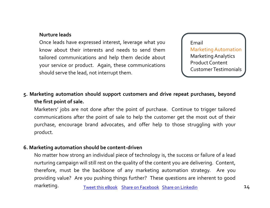#### **Nurture leads**

Once leads have expressed interest, leverage what you know about their interests and needs to send them tailored communications and help them decide about your service or product. Again, these communications should serve the lead, not interrupt them.

Email Marketing Automation Marketing Analytics Product Content Customer Testimonials

#### **5. Marketing automation should support customers and drive repeat purchases, beyond the first point of sale.**

Marketers' jobs are not done after the point of purchase. Continue to trigger tailored communications after the point of sale to help the customer get the most out of their purchase, encourage brand advocates, and offer help to those struggling with your product.

#### **6. Marketing automation should be content-driven**

No matter how strong an individual piece of technology is, the success or failure of a lead nurturing campaign will still rest on the quality of the content you are delivering. Content, therefore, must be the backbone of any marketing automation strategy. Are you providing value? Are you pushing things further? These questions are inherent to good marketing. [Tweet this eBook](https://twitter.com/intent/tweet?text=Learn+why+marketing+automation+is+failing.+Download+@HubSpot) [Share on Facebook](http://www.facebook.com/share.php?u=http://www.hubspot.com/marketing-automation-commandments/?source=BlogFB) [Share on Linkedin](http://www.linkedin.com/shareArticle?mini=true&url=http://www.hubspot.com/marketing-automation-commandments/) 14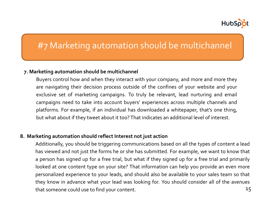

## #7 Marketing automation should be multichannel

#### **7. Marketing automation should be multichannel**

Buyers control how and when they interact with your company, and more and more they are navigating their decision process outside of the confines of your website and your exclusive set of marketing campaigns. To truly be relevant, lead nurturing and email campaigns need to take into account buyers' experiences across multiple channels and platforms. For example, if an individual has downloaded a whitepaper, that's one thing, but what about if they tweet about it too? That indicates an additional level of interest.

#### **8. Marketing automation should reflect Interest not just action**

Additionally, you should be triggering communications based on all the types of content a lead has viewed and not just the forms he or she has submitted. For example, we want to know that a person has signed up for a free trial, but what if they signed up for a free trial and primarily looked at one content type on your site? That information can help you provide an even more personalized experience to your leads, and should also be available to your sales team so that they know in advance what your lead was looking for. You should consider all of the avenues that someone could use to find your content. 15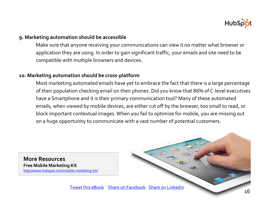

#### **9. Marketing automation should be accessible**

Make sure that anyone receiving your communications can view it no matter what browser or application they are using. In order to gain significant traffic, your emails and site need to be compatible with multiple browsers and devices.

#### **10. Marketing automation should be cross-platform**

Most marketing automated emails have yet to embrace the fact that there is a large percentage of their population checking email on their phones. Did you know that 86% of C-level executives have a Smartphone and it is their primary communication tool? Many of these automated emails, when viewed by mobile devices, are either cut off by the browser, too small to read, or block important contextual images. When you fail to optimize for mobile, you are missing out on a huge opportunity to communicate with a vast number of potential customers.

**More Resources Free Mobile Marketing Kit** <http://www.hubspot.com/mobile-marketing-kit/>

[Tweet this eBook](https://twitter.com/intent/tweet?text=Learn+why+marketing+automation+is+failing.+Download+@HubSpot) [Share on Facebook](http://www.facebook.com/share.php?u=http://www.hubspot.com/marketing-automation-commandments/?source=BlogFB) [Share on Linkedin](http://www.linkedin.com/shareArticle?mini=true&url=http://www.hubspot.com/marketing-automation-commandments/)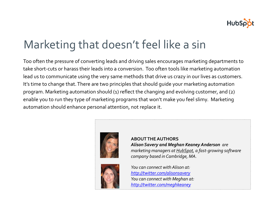

# Marketing that doesn't feel like a sin

Too often the pressure of converting leads and driving sales encourages marketing departments to take short-cuts or harass their leads into a conversion. Too often tools like marketing automation lead us to communicate using the very same methods that drive us crazy in our lives as customers. It's time to change that.There are two principles that should guide your marketing automation program. Marketing automation should (1) reflect the changing and evolving customer, and (2) enable you to run they type of marketing programs that won't make you feel slimy. Marketing automation should enhance personal attention, not replace it.





**ABOUT THE AUTHORS** *Alison Savery and Meghan Keaney Anderson are marketing managers at [HubSpot,](http://www.hubspot.com/) a fast-growing software company based in Cambridge, MA.* 

*You can connect with Alison at: <http://twitter.com/alisonsavery> You can connect with Meghan at: <http://twitter.com/meghkeaney>*